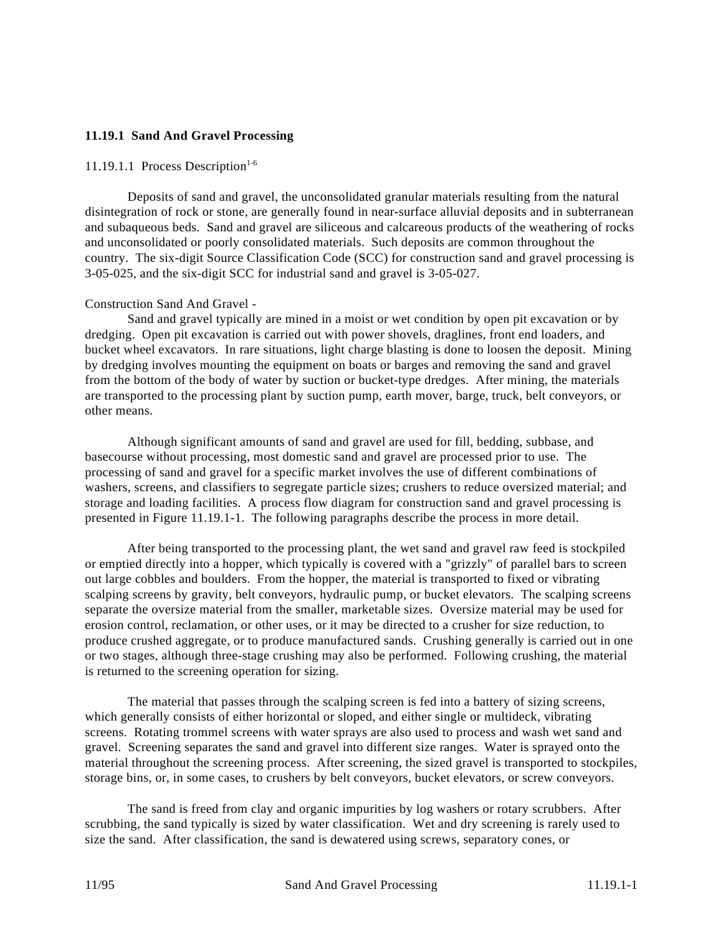## **11.19.1 Sand And Gravel Processing**

#### 11.19.1.1 Process Description<sup>1-6</sup>

Deposits of sand and gravel, the unconsolidated granular materials resulting from the natural disintegration of rock or stone, are generally found in near-surface alluvial deposits and in subterranean and subaqueous beds. Sand and gravel are siliceous and calcareous products of the weathering of rocks and unconsolidated or poorly consolidated materials. Such deposits are common throughout the country. The six-digit Source Classification Code (SCC) for construction sand and gravel processing is 3-05-025, and the six-digit SCC for industrial sand and gravel is 3-05-027.

#### Construction Sand And Gravel -

Sand and gravel typically are mined in a moist or wet condition by open pit excavation or by dredging. Open pit excavation is carried out with power shovels, draglines, front end loaders, and bucket wheel excavators. In rare situations, light charge blasting is done to loosen the deposit. Mining by dredging involves mounting the equipment on boats or barges and removing the sand and gravel from the bottom of the body of water by suction or bucket-type dredges. After mining, the materials are transported to the processing plant by suction pump, earth mover, barge, truck, belt conveyors, or other means.

Although significant amounts of sand and gravel are used for fill, bedding, subbase, and basecourse without processing, most domestic sand and gravel are processed prior to use. The processing of sand and gravel for a specific market involves the use of different combinations of washers, screens, and classifiers to segregate particle sizes; crushers to reduce oversized material; and storage and loading facilities. A process flow diagram for construction sand and gravel processing is presented in Figure 11.19.1-1. The following paragraphs describe the process in more detail.

After being transported to the processing plant, the wet sand and gravel raw feed is stockpiled or emptied directly into a hopper, which typically is covered with a "grizzly" of parallel bars to screen out large cobbles and boulders. From the hopper, the material is transported to fixed or vibrating scalping screens by gravity, belt conveyors, hydraulic pump, or bucket elevators. The scalping screens separate the oversize material from the smaller, marketable sizes. Oversize material may be used for erosion control, reclamation, or other uses, or it may be directed to a crusher for size reduction, to produce crushed aggregate, or to produce manufactured sands. Crushing generally is carried out in one or two stages, although three-stage crushing may also be performed. Following crushing, the material is returned to the screening operation for sizing.

The material that passes through the scalping screen is fed into a battery of sizing screens, which generally consists of either horizontal or sloped, and either single or multideck, vibrating screens. Rotating trommel screens with water sprays are also used to process and wash wet sand and gravel. Screening separates the sand and gravel into different size ranges. Water is sprayed onto the material throughout the screening process. After screening, the sized gravel is transported to stockpiles, storage bins, or, in some cases, to crushers by belt conveyors, bucket elevators, or screw conveyors.

The sand is freed from clay and organic impurities by log washers or rotary scrubbers. After scrubbing, the sand typically is sized by water classification. Wet and dry screening is rarely used to size the sand. After classification, the sand is dewatered using screws, separatory cones, or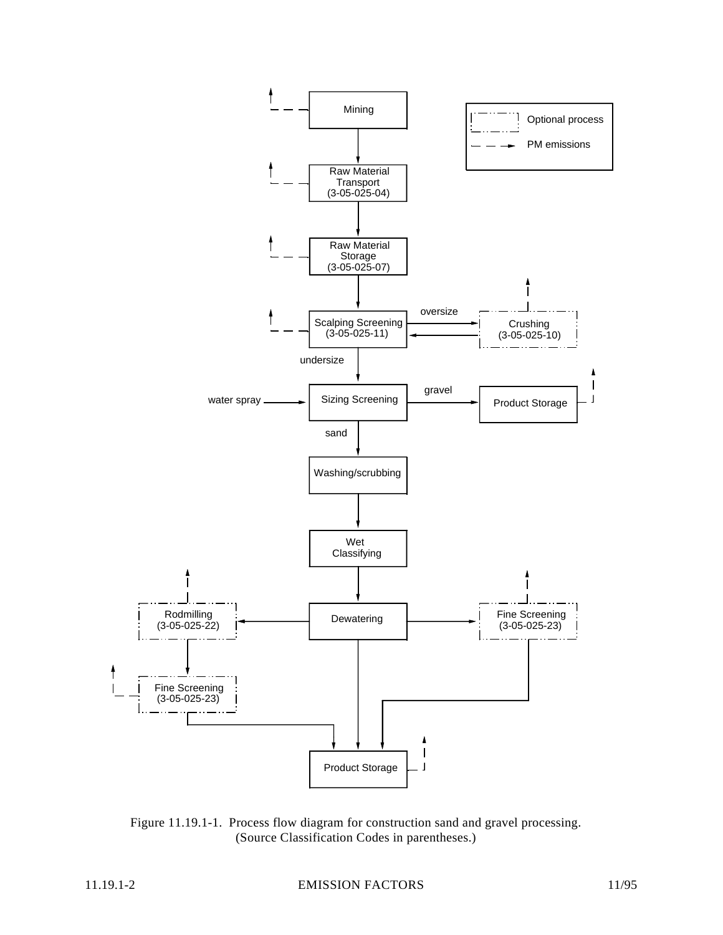

Figure 11.19.1-1. Process flow diagram for construction sand and gravel processing. (Source Classification Codes in parentheses.)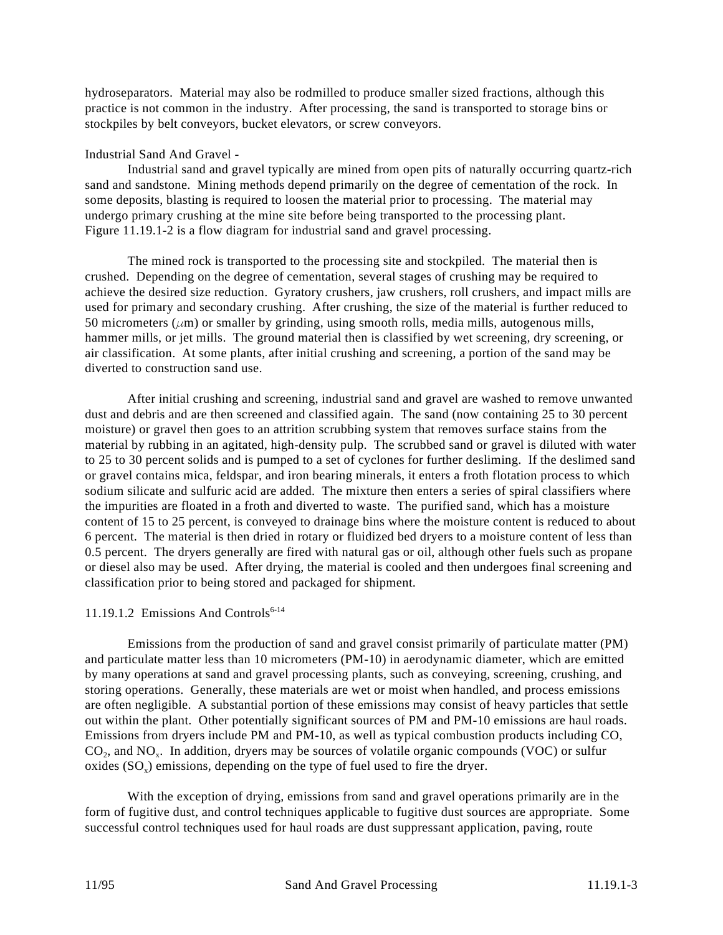hydroseparators. Material may also be rodmilled to produce smaller sized fractions, although this practice is not common in the industry. After processing, the sand is transported to storage bins or stockpiles by belt conveyors, bucket elevators, or screw conveyors.

### Industrial Sand And Gravel -

Industrial sand and gravel typically are mined from open pits of naturally occurring quartz-rich sand and sandstone. Mining methods depend primarily on the degree of cementation of the rock. In some deposits, blasting is required to loosen the material prior to processing. The material may undergo primary crushing at the mine site before being transported to the processing plant. Figure 11.19.1-2 is a flow diagram for industrial sand and gravel processing.

The mined rock is transported to the processing site and stockpiled. The material then is crushed. Depending on the degree of cementation, several stages of crushing may be required to achieve the desired size reduction. Gyratory crushers, jaw crushers, roll crushers, and impact mills are used for primary and secondary crushing. After crushing, the size of the material is further reduced to 50 micrometers ( $\mu$ m) or smaller by grinding, using smooth rolls, media mills, autogenous mills, hammer mills, or jet mills. The ground material then is classified by wet screening, dry screening, or air classification. At some plants, after initial crushing and screening, a portion of the sand may be diverted to construction sand use.

After initial crushing and screening, industrial sand and gravel are washed to remove unwanted dust and debris and are then screened and classified again. The sand (now containing 25 to 30 percent moisture) or gravel then goes to an attrition scrubbing system that removes surface stains from the material by rubbing in an agitated, high-density pulp. The scrubbed sand or gravel is diluted with water to 25 to 30 percent solids and is pumped to a set of cyclones for further desliming. If the deslimed sand or gravel contains mica, feldspar, and iron bearing minerals, it enters a froth flotation process to which sodium silicate and sulfuric acid are added. The mixture then enters a series of spiral classifiers where the impurities are floated in a froth and diverted to waste. The purified sand, which has a moisture content of 15 to 25 percent, is conveyed to drainage bins where the moisture content is reduced to about 6 percent. The material is then dried in rotary or fluidized bed dryers to a moisture content of less than 0.5 percent. The dryers generally are fired with natural gas or oil, although other fuels such as propane or diesel also may be used. After drying, the material is cooled and then undergoes final screening and classification prior to being stored and packaged for shipment.

### 11.19.1.2 Emissions And Controls<sup>6-14</sup>

Emissions from the production of sand and gravel consist primarily of particulate matter (PM) and particulate matter less than 10 micrometers (PM-10) in aerodynamic diameter, which are emitted by many operations at sand and gravel processing plants, such as conveying, screening, crushing, and storing operations. Generally, these materials are wet or moist when handled, and process emissions are often negligible. A substantial portion of these emissions may consist of heavy particles that settle out within the plant. Other potentially significant sources of PM and PM-10 emissions are haul roads. Emissions from dryers include PM and PM-10, as well as typical combustion products including CO,  $CO<sub>2</sub>$ , and NO<sub>x</sub>. In addition, dryers may be sources of volatile organic compounds (VOC) or sulfur oxides  $(SO<sub>x</sub>)$  emissions, depending on the type of fuel used to fire the dryer.

With the exception of drying, emissions from sand and gravel operations primarily are in the form of fugitive dust, and control techniques applicable to fugitive dust sources are appropriate. Some successful control techniques used for haul roads are dust suppressant application, paving, route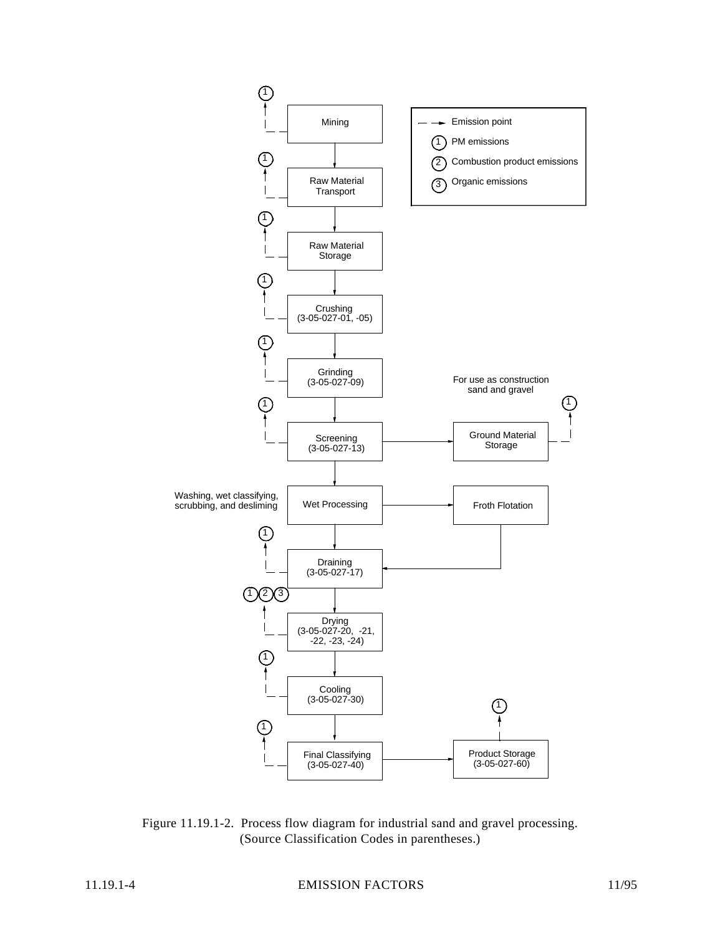

Figure 11.19.1-2. Process flow diagram for industrial sand and gravel processing. (Source Classification Codes in parentheses.)

11.19.1-4 EMISSION FACTORS 11/95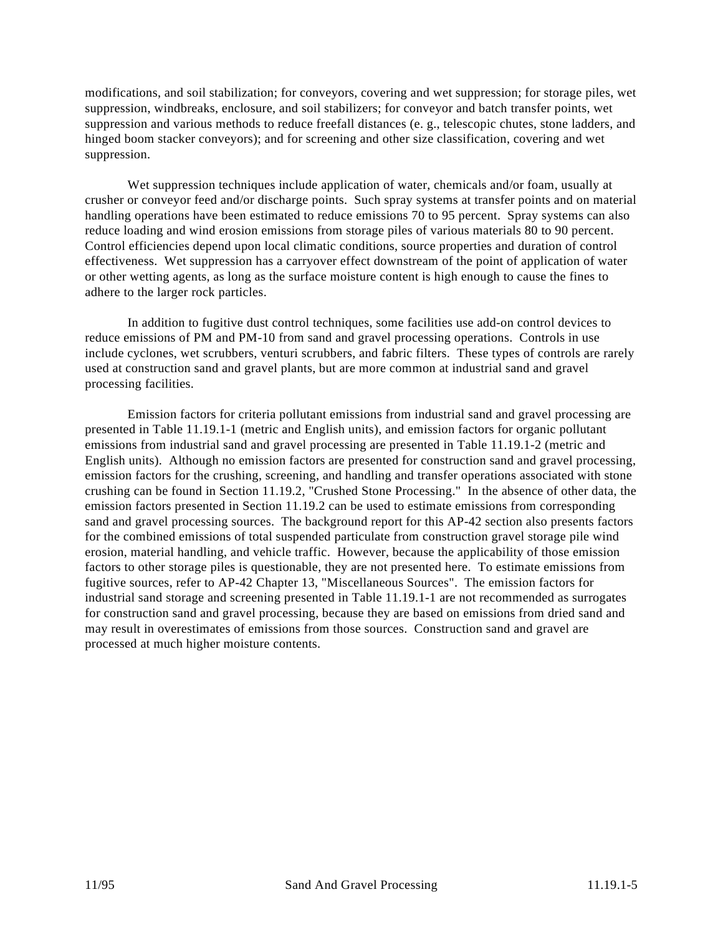modifications, and soil stabilization; for conveyors, covering and wet suppression; for storage piles, wet suppression, windbreaks, enclosure, and soil stabilizers; for conveyor and batch transfer points, wet suppression and various methods to reduce freefall distances (e. g., telescopic chutes, stone ladders, and hinged boom stacker conveyors); and for screening and other size classification, covering and wet suppression.

Wet suppression techniques include application of water, chemicals and/or foam, usually at crusher or conveyor feed and/or discharge points. Such spray systems at transfer points and on material handling operations have been estimated to reduce emissions 70 to 95 percent. Spray systems can also reduce loading and wind erosion emissions from storage piles of various materials 80 to 90 percent. Control efficiencies depend upon local climatic conditions, source properties and duration of control effectiveness. Wet suppression has a carryover effect downstream of the point of application of water or other wetting agents, as long as the surface moisture content is high enough to cause the fines to adhere to the larger rock particles.

In addition to fugitive dust control techniques, some facilities use add-on control devices to reduce emissions of PM and PM-10 from sand and gravel processing operations. Controls in use include cyclones, wet scrubbers, venturi scrubbers, and fabric filters. These types of controls are rarely used at construction sand and gravel plants, but are more common at industrial sand and gravel processing facilities.

Emission factors for criteria pollutant emissions from industrial sand and gravel processing are presented in Table 11.19.1-1 (metric and English units), and emission factors for organic pollutant emissions from industrial sand and gravel processing are presented in Table 11.19.1-2 (metric and English units). Although no emission factors are presented for construction sand and gravel processing, emission factors for the crushing, screening, and handling and transfer operations associated with stone crushing can be found in Section 11.19.2, "Crushed Stone Processing." In the absence of other data, the emission factors presented in Section 11.19.2 can be used to estimate emissions from corresponding sand and gravel processing sources. The background report for this AP-42 section also presents factors for the combined emissions of total suspended particulate from construction gravel storage pile wind erosion, material handling, and vehicle traffic. However, because the applicability of those emission factors to other storage piles is questionable, they are not presented here. To estimate emissions from fugitive sources, refer to AP-42 Chapter 13, "Miscellaneous Sources". The emission factors for industrial sand storage and screening presented in Table 11.19.1-1 are not recommended as surrogates for construction sand and gravel processing, because they are based on emissions from dried sand and may result in overestimates of emissions from those sources. Construction sand and gravel are processed at much higher moisture contents.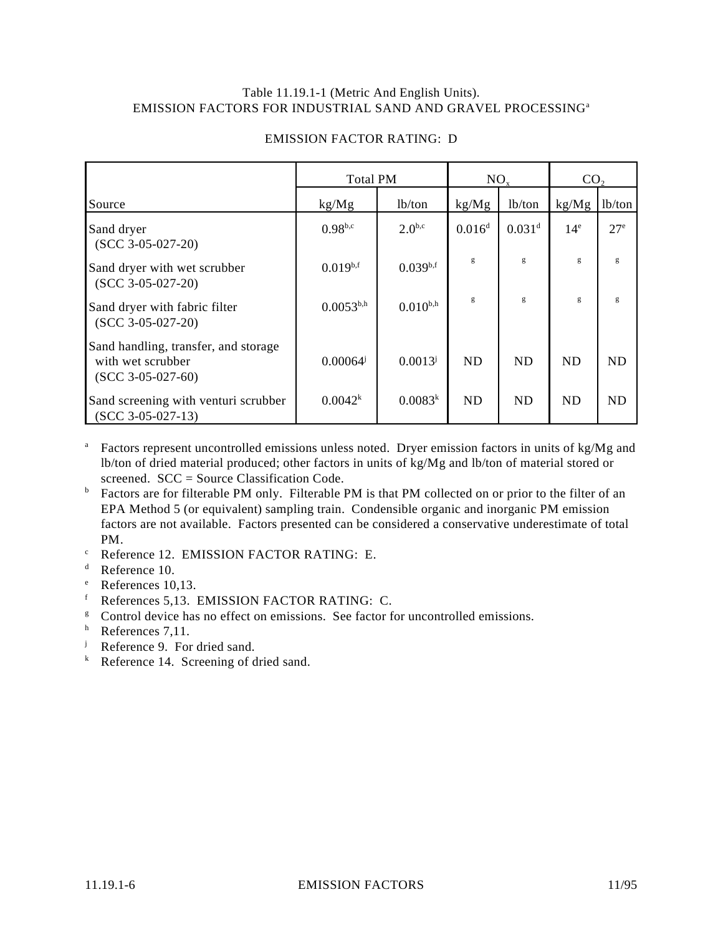#### Table 11.19.1-1 (Metric And English Units). EMISSION FACTORS FOR INDUSTRIAL SAND AND GRAVEL PROCESSING<sup>a</sup>

|                                                                                  | <b>Total PM</b>     |               | $NO_{x}$           |                      | CO <sub>2</sub> |              |
|----------------------------------------------------------------------------------|---------------------|---------------|--------------------|----------------------|-----------------|--------------|
| Source                                                                           | kg/Mg               | lb/ton        | kg/Mg              | lb/ton               | kg/Mg           | lb/ton       |
| Sand dryer<br>$(SCC 3-05-027-20)$                                                | $0.98^{b,c}$        | $2.0^{b,c}$   | 0.016 <sup>d</sup> | $0.031$ <sup>d</sup> | 14 <sup>e</sup> | $27^{\circ}$ |
| Sand dryer with wet scrubber<br>$(SCC 3-05-027-20)$                              | $0.019^{b,f}$       | $0.039^{b,f}$ | g                  | g                    | g               | g            |
| Sand dryer with fabric filter<br>$(SCC 3-05-027-20)$                             | $0.0053^{b,h}$      | $0.010^{b,h}$ | g                  | g                    | g               | g            |
| Sand handling, transfer, and storage<br>with wet scrubber<br>$(SCC 3-05-027-60)$ | $0.00064^{j}$       | $0.0013^{j}$  | <b>ND</b>          | <b>ND</b>            | <b>ND</b>       | <b>ND</b>    |
| Sand screening with venturi scrubber<br>$(SCC 3-05-027-13)$                      | 0.0042 <sup>k</sup> | $0.0083^{k}$  | <b>ND</b>          | <b>ND</b>            | <b>ND</b>       | <b>ND</b>    |

# EMISSION FACTOR RATING: D

- <sup>a</sup> Factors represent uncontrolled emissions unless noted. Dryer emission factors in units of kg/Mg and lb/ton of dried material produced; other factors in units of kg/Mg and lb/ton of material stored or screened. SCC = Source Classification Code.
- <sup>b</sup> Factors are for filterable PM only. Filterable PM is that PM collected on or prior to the filter of an EPA Method 5 (or equivalent) sampling train. Condensible organic and inorganic PM emission factors are not available. Factors presented can be considered a conservative underestimate of total PM.
- $\degree$  Reference 12. EMISSION FACTOR RATING: E.
- <sup>d</sup> Reference 10.
- $^{\circ}$  References 10,13.
- $f$  References 5,13. EMISSION FACTOR RATING: C.
- <sup>g</sup> Control device has no effect on emissions. See factor for uncontrolled emissions.
- $h$  References 7,11.
- <sup>j</sup> Reference 9. For dried sand.
- $k$  Reference 14. Screening of dried sand.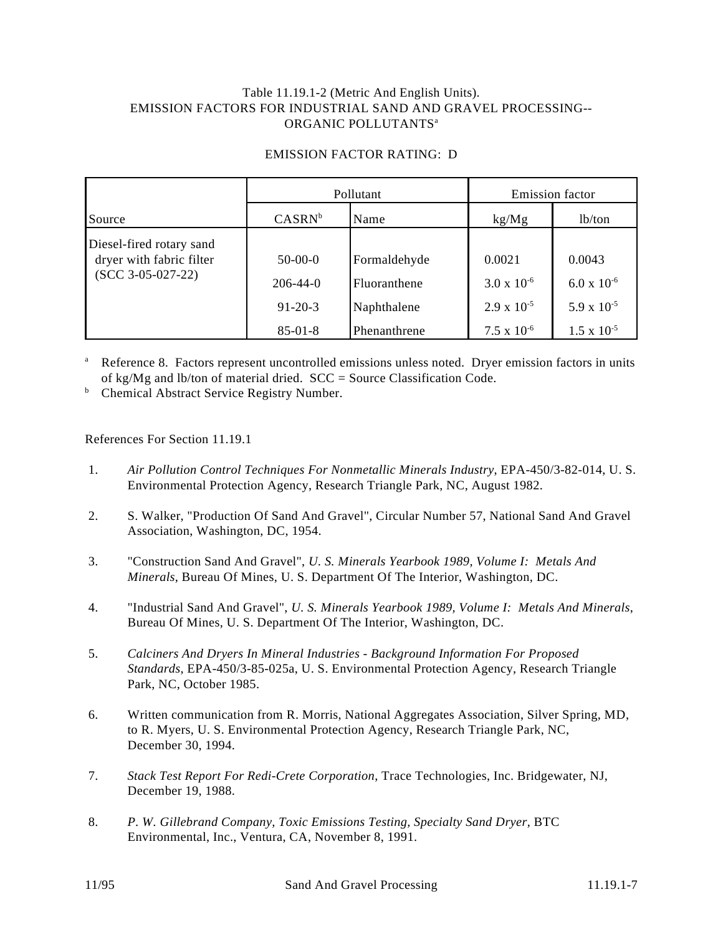### Table 11.19.1-2 (Metric And English Units). EMISSION FACTORS FOR INDUSTRIAL SAND AND GRAVEL PROCESSING-- ORGANIC POLLUTANTS<sup>a</sup>

### EMISSION FACTOR RATING: D

|                                                                             | Pollutant      |              | <b>Emission</b> factor |                      |  |
|-----------------------------------------------------------------------------|----------------|--------------|------------------------|----------------------|--|
| Source                                                                      | $CASRN^b$      | Name         | kg/Mg                  | lb/ton               |  |
| Diesel-fired rotary sand<br>dryer with fabric filter<br>$(SCC 3-05-027-22)$ | $50-00-0$      | Formaldehyde | 0.0021                 | 0.0043               |  |
|                                                                             | $206 - 44 - 0$ | Fluoranthene | $3.0 \times 10^{-6}$   | $6.0 \times 10^{-6}$ |  |
|                                                                             | $91 - 20 - 3$  | Naphthalene  | $2.9 \times 10^{-5}$   | 5.9 x $10^{-5}$      |  |
|                                                                             | $85 - 01 - 8$  | Phenanthrene | $7.5 \times 10^{-6}$   | $1.5 \times 10^{-5}$ |  |

<sup>a</sup> Reference 8. Factors represent uncontrolled emissions unless noted. Dryer emission factors in units of kg/Mg and lb/ton of material dried. SCC = Source Classification Code.

**b** Chemical Abstract Service Registry Number.

References For Section 11.19.1

- 1. *Air Pollution Control Techniques For Nonmetallic Minerals Industry*, EPA-450/3-82-014, U. S. Environmental Protection Agency, Research Triangle Park, NC, August 1982.
- 2. S. Walker, "Production Of Sand And Gravel", Circular Number 57, National Sand And Gravel Association, Washington, DC, 1954.
- 3. "Construction Sand And Gravel", *U. S. Minerals Yearbook 1989, Volume I: Metals And Minerals*, Bureau Of Mines, U. S. Department Of The Interior, Washington, DC.
- 4. "Industrial Sand And Gravel", *U. S. Minerals Yearbook 1989, Volume I: Metals And Minerals*, Bureau Of Mines, U. S. Department Of The Interior, Washington, DC.
- 5. *Calciners And Dryers In Mineral Industries Background Information For Proposed Standards*, EPA-450/3-85-025a, U. S. Environmental Protection Agency, Research Triangle Park, NC, October 1985.
- 6. Written communication from R. Morris, National Aggregates Association, Silver Spring, MD, to R. Myers, U. S. Environmental Protection Agency, Research Triangle Park, NC, December 30, 1994.
- 7. *Stack Test Report For Redi-Crete Corporation*, Trace Technologies, Inc. Bridgewater, NJ, December 19, 1988.
- 8. *P. W. Gillebrand Company, Toxic Emissions Testing, Specialty Sand Dryer*, BTC Environmental, Inc., Ventura, CA, November 8, 1991.